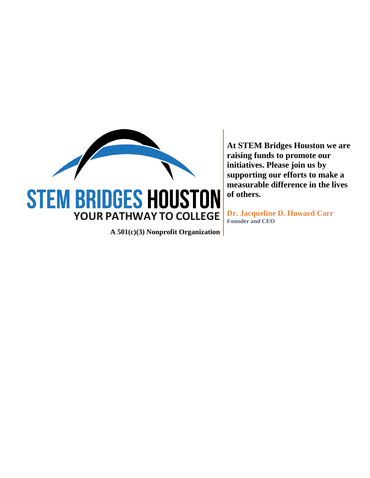

**A 501(c)(3) Nonprofit Organization**

**At STEM Bridges Houston we are raising funds to promote our initiatives. Please join us by supporting our efforts to make a measurable difference in the lives of others.**

**Dr. Jacqueline D. Howard Carr Founder and CEO**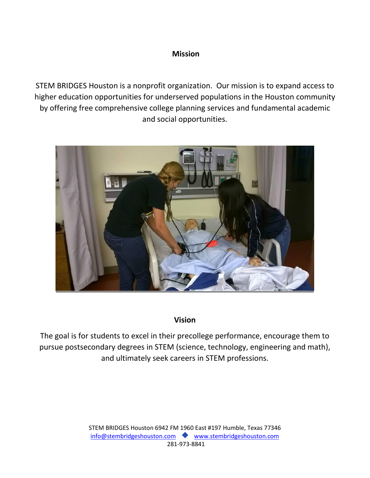# **Mission**

STEM BRIDGES Houston is a nonprofit organization. Our mission is to expand access to higher education opportunities for underserved populations in the Houston community by offering free comprehensive college planning services and fundamental academic and social opportunities.



# **Vision**

The goal is for students to excel in their precollege performance, encourage them to pursue postsecondary degrees in STEM (science, technology, engineering and math), and ultimately seek careers in STEM professions.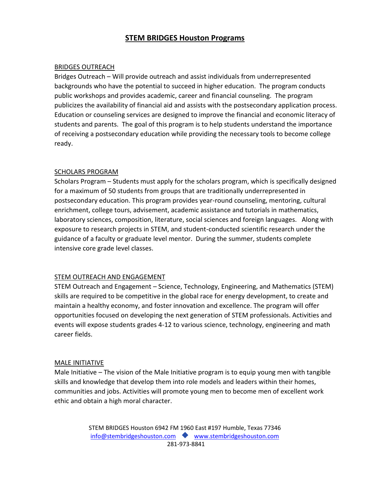## **STEM BRIDGES Houston Programs**

#### BRIDGES OUTREACH

Bridges Outreach – Will provide outreach and assist individuals from underrepresented backgrounds who have the potential to succeed in higher education. The program conducts public workshops and provides academic, career and financial counseling. The program publicizes the availability of financial aid and assists with the postsecondary application process. Education or counseling services are designed to improve the financial and economic literacy of students and parents. The goal of this program is to help students understand the importance of receiving a postsecondary education while providing the necessary tools to become college ready.

#### SCHOLARS PROGRAM

Scholars Program – Students must apply for the scholars program, which is specifically designed for a maximum of 50 students from groups that are traditionally underrepresented in postsecondary education. This program provides year-round counseling, mentoring, cultural enrichment, college tours, advisement, academic assistance and tutorials in mathematics, laboratory sciences, composition, literature, social sciences and foreign languages. Along with exposure to research projects in STEM, and student-conducted scientific research under the guidance of a faculty or graduate level mentor. During the summer, students complete intensive core grade level classes.

## STEM OUTREACH AND ENGAGEMENT

STEM Outreach and Engagement – Science, Technology, Engineering, and Mathematics (STEM) skills are required to be competitive in the global race for energy development, to create and maintain a healthy economy, and foster innovation and excellence. The program will offer opportunities focused on developing the next generation of STEM professionals. Activities and events will expose students grades 4-12 to various science, technology, engineering and math career fields.

#### MALE INITIATIVE

Male Initiative – The vision of the Male Initiative program is to equip young men with tangible skills and knowledge that develop them into role models and leaders within their homes, communities and jobs. Activities will promote young men to become men of excellent work ethic and obtain a high moral character.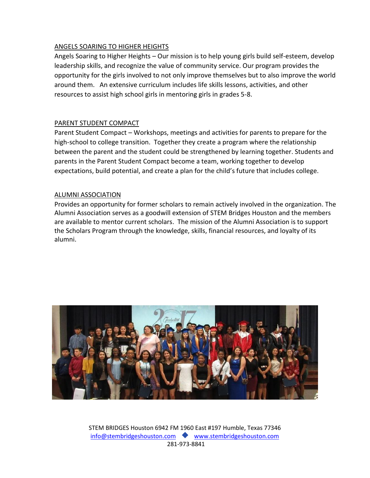## ANGELS SOARING TO HIGHER HEIGHTS

Angels Soaring to Higher Heights – Our mission is to help young girls build self-esteem, develop leadership skills, and recognize the value of community service. Our program provides the opportunity for the girls involved to not only improve themselves but to also improve the world around them. An extensive curriculum includes life skills lessons, activities, and other resources to assist high school girls in mentoring girls in grades 5-8.

## PARENT STUDENT COMPACT

Parent Student Compact – Workshops, meetings and activities for parents to prepare for the high-school to college transition. Together they create a program where the relationship between the parent and the student could be strengthened by learning together. Students and parents in the Parent Student Compact become a team, working together to develop expectations, build potential, and create a plan for the child's future that includes college.

#### ALUMNI ASSOCIATION

Provides an opportunity for former scholars to remain actively involved in the organization. The Alumni Association serves as a goodwill extension of STEM Bridges Houston and the members are available to mentor current scholars. The mission of the Alumni Association is to support the Scholars Program through the knowledge, skills, financial resources, and loyalty of its alumni.

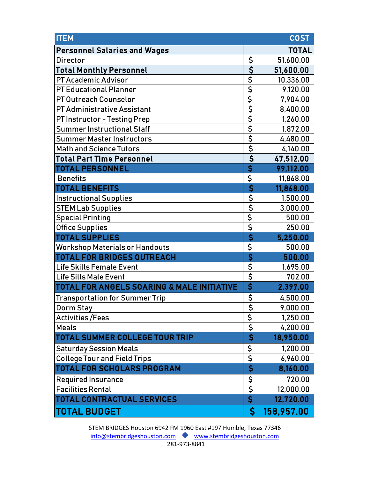| <b>ITEM</b>                                |                                      | <b>COST</b>  |
|--------------------------------------------|--------------------------------------|--------------|
| <b>Personnel Salaries and Wages</b>        |                                      | <b>TOTAL</b> |
| <b>Director</b>                            |                                      | 51,600.00    |
| <b>Total Monthly Personnel</b>             | $\frac{5}{5}$<br>$\frac{5}{5}$       | 51,600.00    |
| <b>PT Academic Advisor</b>                 |                                      | 10,336.00    |
| <b>PT Educational Planner</b>              |                                      | 9,120.00     |
| <b>PT Outreach Counselor</b>               |                                      | 7,904.00     |
| <b>PT Administrative Assistant</b>         | $\frac{1}{5}$                        | 8,400.00     |
| <b>PT Instructor - Testing Prep</b>        |                                      | 1,260.00     |
| <b>Summer Instructional Staff</b>          |                                      | 1,872.00     |
| <b>Summer Master Instructors</b>           |                                      | 4,480.00     |
| <b>Math and Science Tutors</b>             |                                      | 4,140.00     |
| <b>Total Part Time Personnel</b>           |                                      | 47,512.00    |
| <b>TOTAL PERSONNEL</b>                     | $rac{5}{5}$                          | 99,112.00    |
| <b>Benefits</b>                            |                                      | 11,868.00    |
| <b>TOTAL BENEFITS</b>                      | $\overline{\boldsymbol{\mathsf{S}}}$ | 11,868.00    |
| <b>Instructional Supplies</b>              | $rac{5}{5}$                          | 1,500.00     |
| <b>STEM Lab Supplies</b>                   |                                      | 3,000.00     |
| <b>Special Printing</b>                    |                                      | 500.00       |
| <b>Office Supplies</b>                     |                                      | 250.00       |
| <b>TOTAL SUPPLIES</b>                      | $\overline{\boldsymbol{\mathsf{S}}}$ | 5,250.00     |
| <b>Workshop Materials or Handouts</b>      | $\frac{1}{5}$                        | 500.00       |
| <b>TOTAL FOR BRIDGES OUTREACH</b>          |                                      | 500.00       |
| <b>Life Skills Female Event</b>            | $\overline{\boldsymbol{\zeta}}$      | 1,695.00     |
| <b>Life Sills Male Event</b>               | \$                                   | 702.00       |
| TOTAL FOR ANGELS SOARING & MALE INITIATIVE | \$                                   | 2,397.00     |
| <b>Transportation for Summer Trip</b>      | \$                                   | 4,500.00     |
| <b>Dorm Stay</b>                           | \$                                   | 9,000.00     |
| <b>Activities/Fees</b>                     | \$                                   | 1,250.00     |
| <b>Meals</b>                               | \$                                   | 4,200.00     |
| <b>TOTAL SUMMER COLLEGE TOUR TRIP</b>      | $\overline{\boldsymbol{\mathsf{S}}}$ | 18,950.00    |
| <b>Saturday Session Meals</b>              |                                      | 1,200.00     |
| <b>College Tour and Field Trips</b>        | $rac{5}{5}$                          | 6,960.00     |
| <b>TOTAL FOR SCHOLARS PROGRAM</b>          | $\overline{\mathsf{S}}$              | 8,160.00     |
| <b>Required Insurance</b>                  |                                      | 720.00       |
| <b>Facilities Rental</b>                   | $\frac{S}{S}$                        | 12,000.00    |
| <b>TOTAL CONTRACTUAL SERVICES</b>          |                                      | 12,720.00    |
| <b>TOTAL BUDGET</b>                        | $\boldsymbol{\mathsf{S}}$            | 158,957.00   |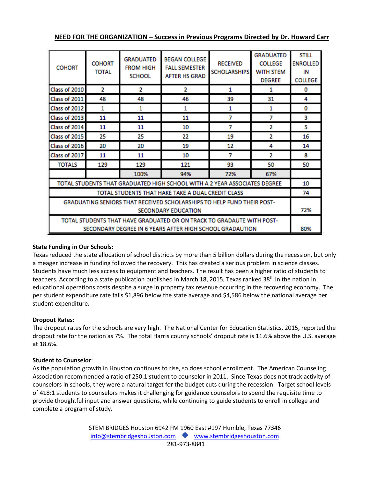|  |  | NEED FOR THE ORGANIZATION - Success in Previous Programs Directed by Dr. Howard Carr |  |
|--|--|--------------------------------------------------------------------------------------|--|
|--|--|--------------------------------------------------------------------------------------|--|

| <b>COHORT</b>                                                                                                                     | <b>COHORT</b><br>TOTAL | <b>GRADUATED</b><br><b>FROM HIGH</b><br><b>SCHOOL</b> | BEGAN COLLEGE<br><b>FALL SEMESTER</b><br><b>AFTER HS GRAD</b> | <b>RECEIVED</b><br><b>SCHOLARSHIPS</b> | <b>GRADUATED</b><br><b>COLLEGE</b><br>WITH STEM<br><b>DEGREE</b> | <b>STILL</b><br><b>ENROLLED</b><br>IN<br><b>COLLEGE</b> |
|-----------------------------------------------------------------------------------------------------------------------------------|------------------------|-------------------------------------------------------|---------------------------------------------------------------|----------------------------------------|------------------------------------------------------------------|---------------------------------------------------------|
| Class of 2010                                                                                                                     | 2                      | 2                                                     | 2                                                             | 1                                      | 1                                                                | 0                                                       |
| Class of 2011                                                                                                                     | 48                     | 48                                                    | 46                                                            | 39                                     | 31                                                               | 4                                                       |
| Class of 2012                                                                                                                     | 1                      | 1                                                     | 1                                                             | 1                                      | 1                                                                | 0                                                       |
| Class of 2013                                                                                                                     | 11                     | 11                                                    | 11                                                            | 7                                      | 7                                                                | з                                                       |
| Class of 2014                                                                                                                     | 11                     | 11                                                    | 10                                                            | 7                                      | 2                                                                | 5                                                       |
| Class of 2015                                                                                                                     | 25                     | 25                                                    | 22                                                            | 19                                     | 2                                                                | 16                                                      |
| Class of 2016                                                                                                                     | 20                     | 20                                                    | 19                                                            | 12                                     | 4                                                                | 14                                                      |
| Class of 2017                                                                                                                     | 11                     | 11                                                    | 10                                                            | 7                                      | 2                                                                | 8                                                       |
| <b>TOTALS</b>                                                                                                                     | 129                    | 129                                                   | 121                                                           | 93                                     | 50                                                               | 50                                                      |
|                                                                                                                                   |                        | 100%                                                  | 94%                                                           | 72%                                    | 67%                                                              |                                                         |
| TOTAL STUDENTS THAT GRADUATED HIGH SCHOOL WITH A 2 YEAR ASSOCIATES DEGREE                                                         |                        |                                                       |                                                               | 10                                     |                                                                  |                                                         |
| TOTAL STUDENTS THAT HAKE TAKE A DUAL CREDIT CLASS                                                                                 |                        |                                                       |                                                               | 74                                     |                                                                  |                                                         |
| GRADUATING SENIORS THAT RECEIVED SCHOLARSHIPS TO HELP FUND THEIR POST-<br><b>SECONDARY EDUCATION</b>                              |                        |                                                       |                                                               | 72%                                    |                                                                  |                                                         |
| TOTAL STUDENTS THAT HAVE GRADUATED OR ON TRACK TO GRADAUTE WITH POST-<br>SECONDARY DEGREE IN 6 YEARS AFTER HIGH SCHOOL GRADAUTION |                        |                                                       |                                                               | 80%                                    |                                                                  |                                                         |

#### **State Funding in Our Schools:**

Texas reduced the state allocation of school districts by more than 5 billion dollars during the recession, but only a meager increase in funding followed the recovery. This has created a serious problem in science classes. Students have much less access to equipment and teachers. The result has been a higher ratio of students to teachers. According to a state publication published in March 18, 2015, Texas ranked 38<sup>th</sup> in the nation in educational operations costs despite a surge in property tax revenue occurring in the recovering economy. The per student expenditure rate falls \$1,896 below the state average and \$4,586 below the national average per student expenditure.

#### **Dropout Rates**:

The dropout rates for the schools are very high. The National Center for Education Statistics, 2015, reported the dropout rate for the nation as 7%. The total Harris county schools' dropout rate is 11.6% above the U.S. average at 18.6%.

#### **Student to Counselor**:

As the population growth in Houston continues to rise, so does school enrollment. The American Counseling Association recommended a ratio of 250:1 student to counselor in 2011. Since Texas does not track activity of counselors in schools, they were a natural target for the budget cuts during the recession. Target school levels of 418:1 students to counselors makes it challenging for guidance counselors to spend the requisite time to provide thoughtful input and answer questions, while continuing to guide students to enroll in college and complete a program of study.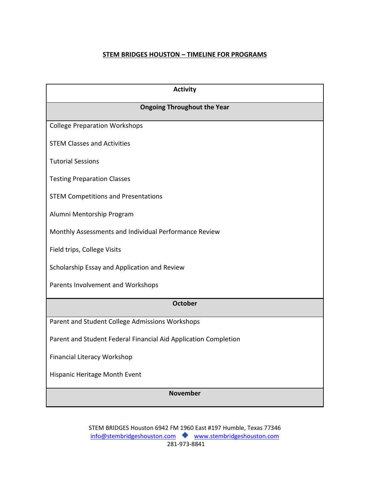## **STEM BRIDGES HOUSTON – TIMELINE FOR PROGRAMS**

| <b>Activity</b>                                                 |
|-----------------------------------------------------------------|
| <b>Ongoing Throughout the Year</b>                              |
| <b>College Preparation Workshops</b>                            |
| <b>STEM Classes and Activities</b>                              |
| <b>Tutorial Sessions</b>                                        |
| <b>Testing Preparation Classes</b>                              |
| <b>STEM Competitions and Presentations</b>                      |
| Alumni Mentorship Program                                       |
| Monthly Assessments and Individual Performance Review           |
| Field trips, College Visits                                     |
| Scholarship Essay and Application and Review                    |
| Parents Involvement and Workshops                               |
| <b>October</b>                                                  |
| Parent and Student College Admissions Workshops                 |
| Parent and Student Federal Financial Aid Application Completion |
| <b>Financial Literacy Workshop</b>                              |
| Hispanic Heritage Month Event                                   |
| <b>November</b>                                                 |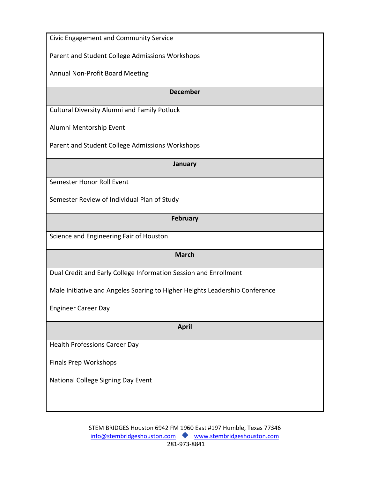| Civic Engagement and Community Service                                      |
|-----------------------------------------------------------------------------|
| Parent and Student College Admissions Workshops                             |
| Annual Non-Profit Board Meeting                                             |
| <b>December</b>                                                             |
| <b>Cultural Diversity Alumni and Family Potluck</b>                         |
| Alumni Mentorship Event                                                     |
| Parent and Student College Admissions Workshops                             |
| January                                                                     |
| Semester Honor Roll Event                                                   |
| Semester Review of Individual Plan of Study                                 |
| <b>February</b>                                                             |
| Science and Engineering Fair of Houston                                     |
| <b>March</b>                                                                |
| Dual Credit and Early College Information Session and Enrollment            |
| Male Initiative and Angeles Soaring to Higher Heights Leadership Conference |
| <b>Engineer Career Day</b>                                                  |
| <b>April</b>                                                                |
| <b>Health Professions Career Day</b>                                        |
| <b>Finals Prep Workshops</b>                                                |
| National College Signing Day Event                                          |
|                                                                             |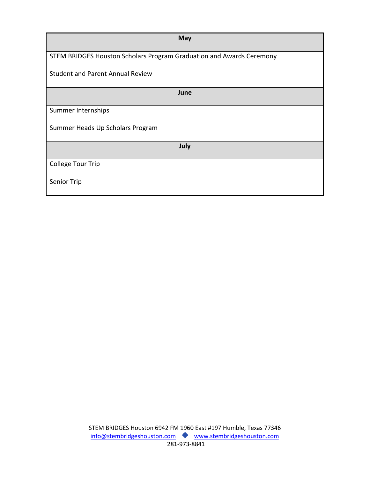| <b>May</b>                                                           |
|----------------------------------------------------------------------|
| STEM BRIDGES Houston Scholars Program Graduation and Awards Ceremony |
| <b>Student and Parent Annual Review</b>                              |
| June                                                                 |
| Summer Internships                                                   |
| Summer Heads Up Scholars Program                                     |
| July                                                                 |
| <b>College Tour Trip</b>                                             |
| Senior Trip                                                          |